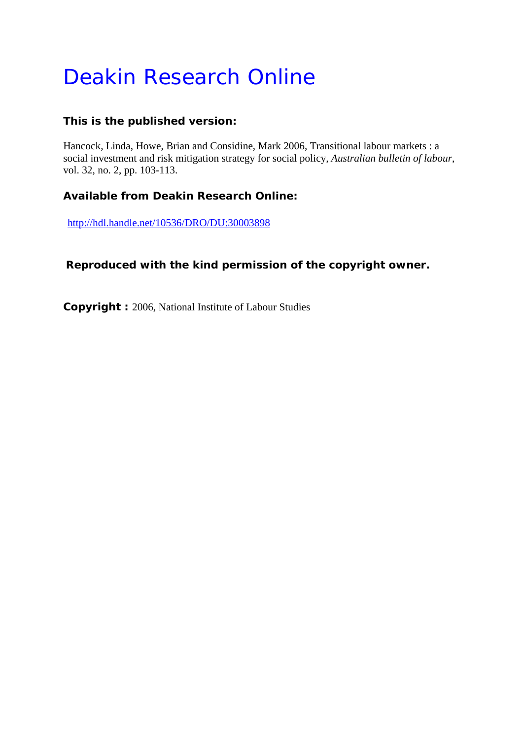# Deakin Research Online

#### **This is the published version:**

Hancock, Linda, Howe, Brian and Considine, Mark 2006, Transitional labour markets : a social investment and risk mitigation strategy for social policy*, Australian bulletin of labour*, vol. 32, no. 2, pp. 103-113.

## **Available from Deakin Research Online:**

http://hdl.handle.net/10536/DRO/DU:30003898

## **Reproduced with the kind permission of the copyright owner.**

**Copyright :** 2006, National Institute of Labour Studies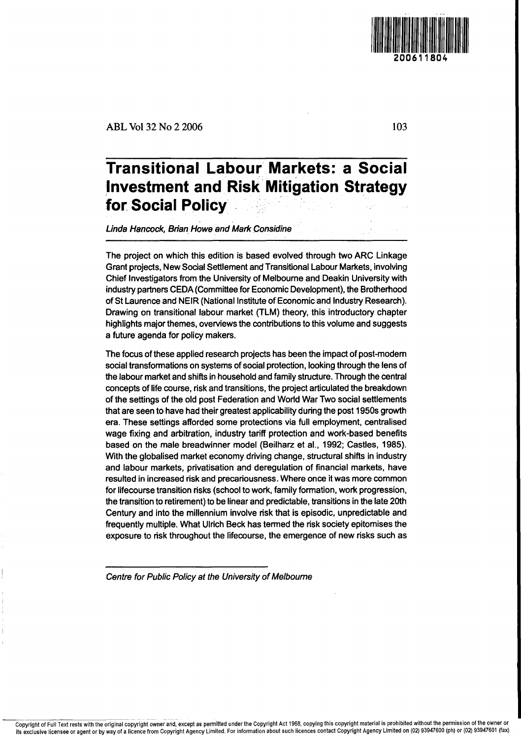ABL Vol 32 No 2 2006

## **Transitional Labour Markets: a Social ,Investment and'Risk: Mitigation Strategy for Social Policy .**

Linda Hancock, Brian Howe and Mark Considine

The project on which this edition is based evolved through two ARC Linkage Grant projects, New Social Settlement and Transitional Labour Markets, involving Chief Investigators from the University of Melbourne and Deakin University with industry partners CEDA (Committee for Economic Development), the Brotherhood of St Laurence and NEIR (National Institute of Economic and Industry Research). Drawing on transitional labour market (TLM) theory, this introductory chapter highlights major themes, overviews the contributions to this volume and suggests a future agenda for policy makers.

The focus of these applied research projects has been the impact of post-modern social transformations on systems of social protection, looking through the lens of the labour market and shifts in household and family structure. Through the central concepts of life course, risk and transitions, the project articulated the breakdown of the settings of the old post Federation and World War Two social settlements that are seen to have had their greatest applicability during the post 1950s growth era. These settings afforded some protections via full employment, centralised wage fixing and arbitration, industry tariff protection and work-based benefits based on the male breadwinner model (Beilharz et al., 1992; Castles, 1985). With the globalised market economy driving change, structural shifts in industry and labour markets, privatisation and deregulation of financial markets, have resulted in increased risk and precariousness. Where once it was more common for Iifecourse transition risks (school to work, family formation, work progression, the transition to retirement) to be linear and predictable, transitions in the late 20th Century and into the millennium involve risk that is episodic, unpredictable and frequently multiple. What Ulrich Beck has termed the risk society epitomises the exposure to risk throughout the Iifecourse, the emergence of new risks such as

Centre for Public Policy at the University of Melbourne

103

11

200611804

Copyright of Full Text rests with the original copyright owner and, except as permitted under the Copyright Act 1968, copying this copyright material is prohibited without the permission of the owner or its exclusive licensee or agent or by way of a licence from Copyright Agency Limited. For information about such licences contact Copyright Agency Limited on (02) 93947600 (ph) or (02) 93947601 (fax)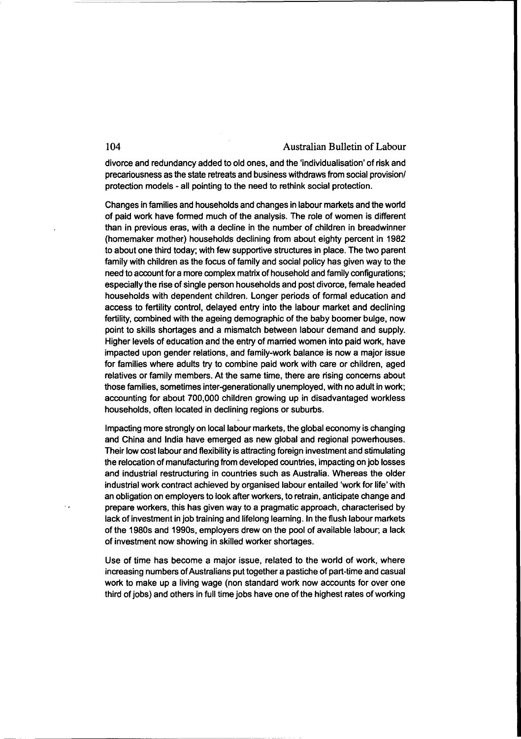divorce and redundancy added to old ones, and the 'individualisation' of risk and precariousness as the state retreats and business withdraws from social provision! protection models - all pointing to the need to rethink social protection.

Changes in families and households and changes in labour markets and the world of paid work have formed much of the analysis. The role of women is different than in previous eras, with a decline in the number of children in breadwinner (homemaker mother) households declining from about eighty percent in 1982 to about one third today; with few supportive structures in place. The two parent family with children as the focus of family and social policy has given way to the need to account for a more complex matrix of household and family configurations; especially the rise of single person households and post divorce, female headed households with dependent children. Longer periods of formal education and access to fertility control, delayed entry into the labour market and declining fertility, combined with the ageing demographic of the baby boomer bulge, now point to skills shortages and a mismatch between labour demand and supply. Higher levels of education and the entry of married women into paid work, have impacted upon gender relations, and family-work balance is now a major issue for families where adults try to combine paid work with care or children, aged relatives or family members. At the same time, there are rising concems about those families, sometimes inter-generationally unemployed, with no adult in work; accounting for about 700,000 children growing up in disadvantaged workless households, often located in declining regions or suburbs.

Impacting more strongly on local labour markets, the global economy is changing and China and India have emerged as new global and regional powerhouses. Their low cost labour and flexibility is attracting foreign investment and stimulating the relocation of manufacturing from developed countries, impacting on job losses and industrial restructuring in countries such as Australia. Whereas the older industrial work contract achieved by organised labour entailed 'work for life' with an obligation on employers to look after workers, to retrain, anticipate change and prepare workers, this has given way to a pragmatic approach, characterised by lack of investment in job training and lifelong learning. In the flush labour markets of the 1980s and 1990s, employers drew on the pool of available labour; a lack of investment now showing in skilled worker shortages.

Use of time has become a major issue, related to the world of work, where increasing numbers ofAustralians put together a pastiche of part-time and casual work to make up a living wage (non standard work now accounts for over one third of jobs) and others in full time jobs have one of the highest rates of working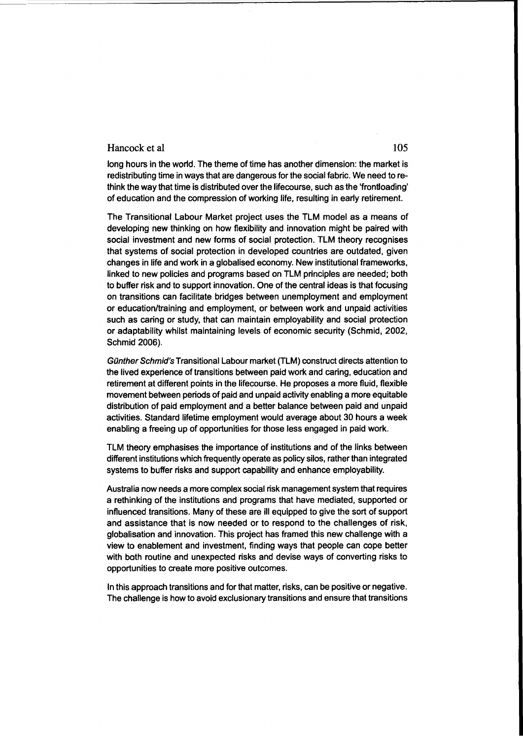#### Hancock et al 105

long hours in the world. The theme of time has another dimension: the market is redistributing time in ways that are dangerous for the social fabric. We need to rethink the way that time is distributed over the lifecourse, such as the 'frontloading' of education and the compression of working life, resulting in early retirement.

The Transitional Labour Market project uses the TLM model as a means of developing new thinking on how flexibility and innovation might be paired with social investment and new forms of social protection. TLM theory recognises that systems of social protection in developed countries are outdated, given changes in life and work in a globalised economy. New institutional frameworks, linked to new policies and programs based on TLM principles are needed; both to buffer risk and to support innovation. One of the central ideas is that focusing on transitions can facilitate bridges between unemployment and employment or education/training and employment, or between work and unpaid activities such as caring or study, that can maintain employability and social protection or adaptability whilst maintaining levels of economic security (Schmid, 2002, Schmid 2006).

Günther Schmid's Transitional Labour market (TLM) construct directs attention to the lived experience of transitions between paid work and caring, education and retirement at different points in the Iifecourse. He proposes a more fluid, flexible movement between periods of paid and unpaid activity enabling a more equitable distribution of paid employment and a better balance between paid and unpaid activities. Standard lifetime employment would average about 30 hours a week enabling a freeing up of opportunities for those less engaged in paid work.

TLM theory emphasises the importance of institutions and of the links between different institutions which frequently operate as policy silos, rather than integrated systems to buffer risks and support capability and enhance employability.

Australia now needs a more complex social risk management system that requires a rethinking of the institutions and programs that have mediated, supported or influenced transitions. Many of these are ill equipped to give the sort of support and assistance that is now needed or to respond to the challenges of risk, globalisation and innovation. This project has framed this new challenge with a view to enablement and investment, finding ways that people can cope better with both routine and unexpected risks and devise ways of converting risks to opportunities to create more positive outcomes.

In this approach transitions and for that matter, risks, can be positive or negative. The challenge is how to avoid exclusionary transitions and ensure that transitions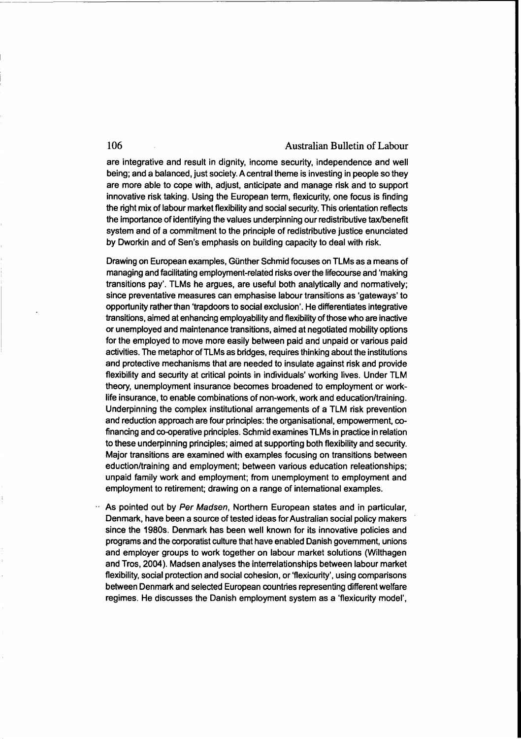are integrative and result in dignity, income security, independence and well being; and a balanced, just society. A central theme is investing in people so they are more able to cope with, adjust, anticipate and manage risk and to support innovative risk taking. Using the European term, flexicurity, one focus is finding the right mix of labour market flexibility and social security. This orientation reflects the importance of identifying the values underpinning our redistributive taxlbenefit system and of a commitment to the principle of redistributive justice enunciated by Dworkin and of Sen's emphasis on building capacity to deal with risk.

-~-----------------------------------------------------.

Drawing on European examples, Günther Schmid focuses on TLMs as a means of managing and facilitating employment-related risks over the lifecourse and 'making transitions pay'. TLMs he argues, are useful both analytically and normatively; since preventative measures can emphasise labour transitions as 'gateways' to opportunity rather than 'trapdoors to social exclusion'. He differentiates integrative transitions, aimed at enhancing employability and flexibility of those who are inactive or unemployed and maintenance transitions, aimed at negotiated mobiiity options for the employed to move more easily between paid and unpaid or various paid activities. The metaphor of TLMs as bridges, requires thinking about the institutions and protective mechanisms that are needed to insulate against risk and provide flexibility and security at critical points in individuals' working lives. Under TLM theory, unemployment insurance becomes broadened to employment or worklife insurance, to enable combinations of non-work, work and education/training. Underpinning the complex institutional arrangements of a TLM risk prevention and reduction approach are four principles: the organisational, empowerment, cofinancing and co-operative principles. Schmid examines TLMs in practice in relation to these underpinning principles; aimed at supporting both flexibility and security. Major transitions are examined with examples focusing on transitions between eduction/training and employment; between various education releationships; unpaid family work and employment; from unemployment to employment and employment to retirement; drawing on a range of international examples.

As pointed out by Per Madsen, Northern European states and in particular, Denmark, have been a source of tested ideas for Australian social policy makers since the 1980s. Denmark has been well known for its innovative policies and programs and the corporatist culture that have enabled Danish govemment, unions and employer groups to work together on labour market solutions (Wilthagen and Tros, 2004). Madsen analyses the interrelationships between labour market flexibility, social protection and social cohesion, or 'flexicurity', using comparisons between Denmark and selected European countries representing different welfare regimes. He discusses the Danish employment system as a 'flexicurity model',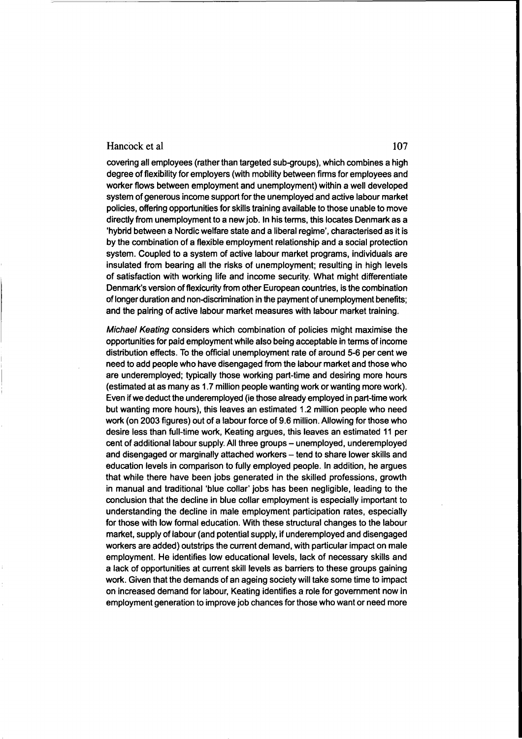#### Hancock et al and the state of the state of the state of the state of the state of the state of the state of the state of the state of the state of the state of the state of the state of the state of the state of the state

covering all employees (rather than targeted sub-groups), which combines a high degree of flexibility for employers (with mobility between firms for employees and worker flows between employment and unemployment) within a well developed system of generous income support for the unemployed and active labour market policies, offering opportunities for skills training available to those unable to move directly from unemployment to a new job. In his terms, this locates Denmark as a 'hybrid between a Nordic welfare state and a liberal regime', characterised as it is by the combination of a flexible employment relationship and a social protection system. Coupled to a system of active labour market programs, individuals are insulated from bearing all the risks of unemployment; resulting in high levels of satisfaction with working life and income security. What might differentiate Denmark's version of flexicurity from other European countries, is the combination of longer duration and non-discrimination in the payment of unemployment benefits; and the pairing of active labour market measures with labour market training.

Michael Keating considers which combination of policies might maximise the opportunities for paid employment while also being acceptable in terms of income distribution effects. To the official unemployment rate of around 5-6 per cent we need to add people who have disengaged from the labour market and those who are underemployed; typically those working part-time and desiring more hours (estimated at as many as 1.7 million people wanting work or wanting more work). Even if we deduct the underemployed (ie those already employed in part-time work but wanting more hours), this leaves an estimated 1.2 million people who need work (on 2003 figures) out of a labour force of 9.6 million. Allowing for those who desire less than full-time work, Keating argues, this leaves an estimated 11 per cent of additional labour supply. All three groups - unemployed, underemployed and disengaged or marginally attached workers - tend to share lower skills and education levels in comparison to fully employed people. In addition, he argues that while there have been jobs generated in the skilled professions, growth in manual and traditional 'blue collar' jobs has been negligible, leading to the conclusion that the decline in blue collar employment is especially important to understanding the decline in male employment participation rates, especially for those with low formal education. With these structural changes to the labour market, supply of labour (and potential supply, if underemployed and disengaged workers are added) outstrips the current demand, with particular impact on male employment. He identifies low educational levels, lack of necessary skills and a lack of opportunities at current skill levels as barriers to these groups gaining work. Given that the demands of an ageing society will take some time to impact on increased demand for labour, Keating identifies a role for government now in employment generation to improve job chances for those who want or need more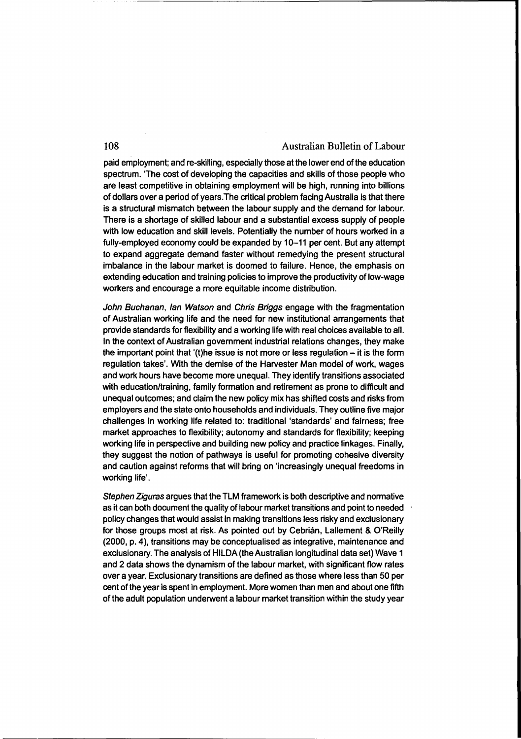paid employment; and re-skilling, especially those at the lower end of the education spectrum. 'The cost of developing the capacities and skills of those people who are least competitive in obtaining employment will be high, running into billions of dollars over a period of years.The critical problem facing Australia is that there is a structural mismatch between the labour supply and the demand for labour. There is a shortage of skilled labour and a substantial excess supply of people with low education and skill levels. Potentially the number of hours worked in a fully-employed economy could be expanded by 10-11 per cent. But any attempt to expand aggregate demand faster without remedying the present structural imbalance in the labour market is doomed to failure. Hence, the emphasis on extending education and training policies to improve the productivity of low-wage workers and encourage a more equitable income distribution.

John Buchanan, Ian Watson and Chris Briggs engage with the fragmentation of Australian working life and the need for new institutional arrangements that provide standards for flexibility and a working life with real choices available to all. In the context of Australian government industrial relations changes, they make the important point that '(t)he issue is not more or less regulation  $-$  it is the form regulation takes'. With the demise of the Harvester Man model of work, wages and work hours have become more unequal. They identify transitions associated with education/training, family formation and retirement as prone to difficult and unequal outcomes; and claim the new policy mix has shifted costs and risks from employers and the state onto households and individuals. They outline five major challenges in working life related to: traditional 'standards' and fairness; free market approaches to flexibility; autonomy and standards for flexibility; keeping working life in perspective and building new policy and practice linkages. Finally, they suggest the notion of pathways is useful for promoting cohesive diversity and caution against reforms that will bring on 'increasingly unequal freedoms in working life'.

Stephen Ziguras argues that the TLM framework is both descriptive and normative as it can both document the quality of labour market transitions and point to needed policy changes that would assist in making transitions less risky and exclusionary for those groups most at risk. As pointed out by Cebrián, Lallement & O'Reilly (2000, p. 4), transitions may be conceptualised as integrative, maintenance and exclusionary. The analysis of HILDA (the Australian longitudinal data set) Wave 1 and 2 data shows the dynamism of the labour market, with significant flow rates over a year. Exclusionary transitions are defined as those where less than 50 per cent of the year is spent in employment. More women than men and about one fifth of the adult population underwent a labour market transition within the study year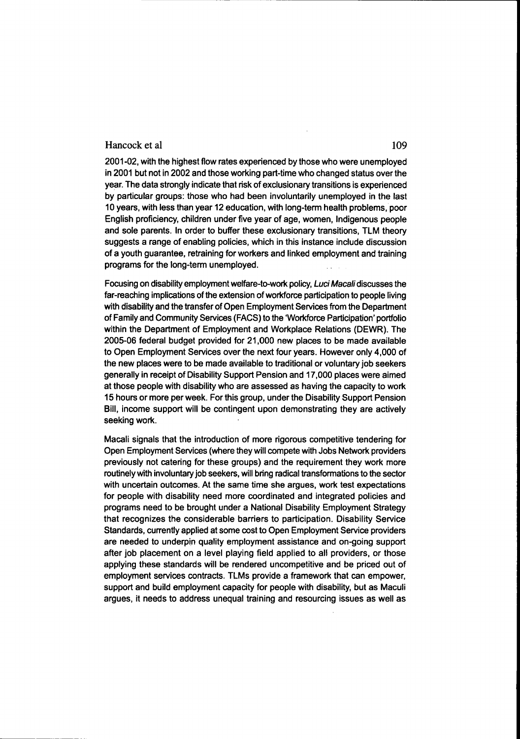#### Hancock et al 109

2001-02, with the highest flow rates experienced by those who were unemployed in 2001 but not in 2002 and those working part-time who changed status over the year. The data strongly indicate that risk of exclusionary transitions is experienced by particular groups: those who had been involuntarily unemployed in the last 10 years, with less than year 12 education, with long-term health problems, poor English proficiency, children under five year of age, women, Indigenous people and sole parents. In order to buffer these exclusionary transitions, TLM theory suggests a range of enabling policies, which in this instance include discussion of a youth guarantee, retraining for workers and linked employment and training programs for the long-term unemployed.

Focusing on disability employment welfare-to-work policy, Luci Macali discusses the far-reaching implications of the extension of workforce participation to people living with disability and the transfer of Open Employment Services from the Department of Family and Community Services (FACS) to the 'Workforce Participation' portfolio within the Department of Employment and Workplace Relations (DEWR). The 2005-06 federal budget provided for 21,000 new places to be made available to Open Employment Services over the next four years. However only 4,000 of the new places were to be made available to traditional or voluntary job seekers generally in receipt of Disability Support Pension and 17,000 places were aimed at those people with disability who are assessed as having the capacity to work 15 hours or more per week. For this group, under the Disability Support Pension Bill, income support will be contingent upon demonstrating they are actively seeking work.

Macali signals that the introduction of more rigorous competitive tendering for Open Employment Services (where they will compete with Jobs Network providers previously not catering for these groups) and the requirement they work more routinely with involuntary job seekers, will bring radical transformations to the sector with uncertain outcomes. At the same time she argues, work test expectations for people with disability need more coordinated and integrated policies and programs need to be brought under a National Disability Employment Strategy that recognizes the considerable barriers to participation. Disability Service Standards, currently applied at some cost to Open Employment Service providers are needed to underpin quality employment assistance and on-going support after job placement on a level playing field applied to all providers, or those applying these standards will be rendered uncompetitive and be priced out of employment services contracts. TLMs provide a framework that can empower, support and build employment capacity for people with disability, but as Maculi argues, it needs to address unequal training and resourcing issues as well as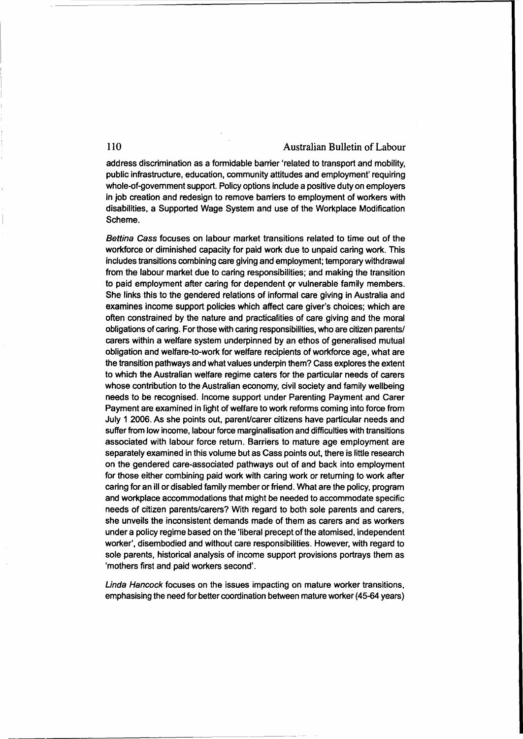address discrimination as a formidable barrier 'related to transport and mobility, public infrastructure, education, community attitudes and employment' requiring whole-of-govemment support. Policy options include a positive duty on employers in job creation and redesign to remove barriers to employment of workers with disabilities, a Supported Wage System and use of the Workplace Modification Scheme.

Bettina Cass focuses on labour market transitions related to time out of the workforce or diminished capacity for paid work due to unpaid caring work. This includes transitions combining care giving and employment; temporary withdrawal from the labour market due to caring responsibilities; and making the transition to paid employment after caring for dependent or vulnerable family members. She links this to the gendered relations of informal care giving in Australia and examines income support policies which affect care giver's choices; which are often constrained by the nature and practicalities of care giving and the moral obligations of caring. Forthose with caring responsibilities, who are citizen parents! carers within a welfare system underpinned by an ethos of generalised mutual obligation and welfare-to-work for welfare recipients of workforce age, what are the transition pathways and what values underpin them? Cass explores the extent to which the Australian welfare regime caters for the particular needs of carers whose contribution to the Australian economy, civil society and family wellbeing needs to be recognised. Income support under Parenting Payment and Carer Payment are examined in light of welfare to work reforms coming into force from July 1 2006. As she points out, parent/carer citizens have particular needs and suffer from low income, labour force marginalisation and difficulties with transitions associated with labour force return. Barriers to mature age employment are separately examined in this volume but as Cass points out, there is little research on the gendered care-associated pathways out of and back into employment for those either combining paid work with caring work or retuming to work after caring for an ill or disabled family member or friend. What are the policy, program and workplace accommodations that might be needed to accommodate specific needs of citizen parents/carers? With regard to both sole parents and carers, she unveils the inconsistent demands made of them as carers and as workers under a policy regime based on the 'liberal precept of the atomised, independent worker', disembodied and without care responsibilities. However, with regard to sole parents, historical analysis of income support provisions portrays them as 'mothers first and paid workers second'.

Linda Hancock focuses on the issues impacting on mature worker transitions, emphasising the need for better coordination between mature worker (45-64 years)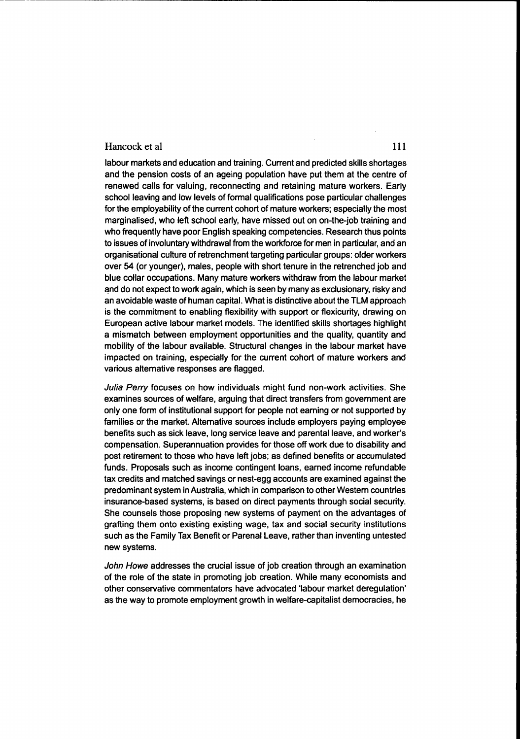#### Hancock et al 111

labour markets and education and training. Current and predicted skills shortages and the pension costs of an ageing population have put them at the centre of renewed calls for valuing, reconnecting and retaining mature workers. Early school leaving and low levels of formal qualifications pose particular challenges for the employability of the current cohort of mature workers; especially the most marginalised, who left school early, have missed out on on-the-job training and who frequently have poor English speaking competencies. Research thus points to issues of involuntary withdrawal from the workforce for men in particular, and an organisational culture of retrenchment targeting particular groups: older workers over 54 (or younger), males, people with short tenure in the retrenched job and blue collar occupations. Many mature workers withdraw from the labour market and do not expect to work again, which is seen by many as exclusionary, risky and an avoidable waste of human capital. What is distinctive about the TLM approach is the commitment to enabling flexibility with support or flexicurity, drawing on European active labour market models. The identified skills shortages highlight a mismatch between employment opportunities and the quality, quantity and mobility of the labour available. Structural changes in the labour market have impacted on training, especially for the current cohort of mature workers and various alternative responses are flagged.

---------------------------------------------------.

Julia Perry focuses on how individuals might fund non-work activities. She examines sources of welfare, arguing that direct transfers from government are only one form of institutional support for people not earning or not supported by families or the market. Altemative sources include employers paying employee benefits such as sick leave, long service leave and parental leave, and worker's compensation. Superannuation provides for those off work due to disability and post retirement to those who have left jobs; as defined benefits or accumulated funds. Proposals such as income contingent loans, eamed income refundable tax credits and matched savings or nest-egg accounts are examined against the predominant system in Australia, which in comparison to other Westem countries insurance-based systems, is based on direct payments through social security. She counsels those proposing new systems of payment on the advantages of grafting them onto existing existing wage, tax and social security institutions such as the Family Tax Benefit or Parenal Leave, rather than inventing untested new systems.

John Howe addresses the crucial issue of job creation through an examination of the role of the state in promoting job creation. While many economists and other conservative commentators have advocated 'labour market deregulation' as the way to promote employment growth in welfare-capitalist democracies, he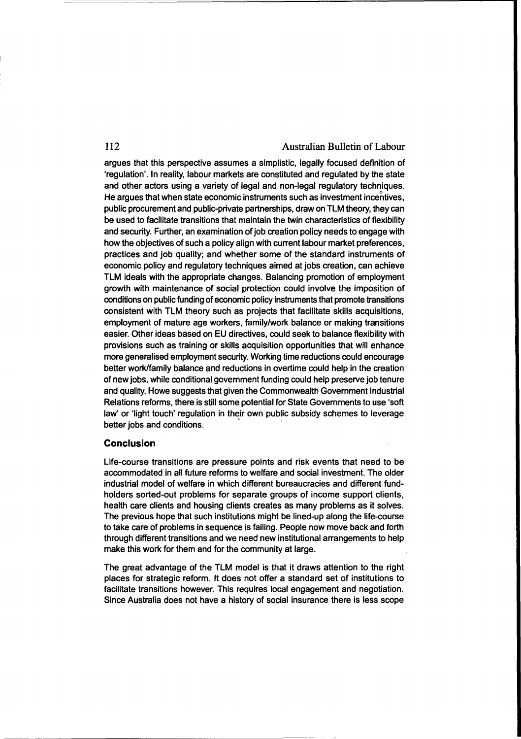argues that this perspective assumes a simplistic, legally focused definition of 'regulation'. In reality, labour markets are constituted and regulated by the state and other actors using a variety of legal and non-legal regulatory techniques. He argues that when state economic instruments such as investment incentives, public procurement and public-private partnerships, draw on TLM theory, they can be used to facilitate transitions that maintain the twin characteristics of flexibility and security. Further, an examination ofjob creation policy needs to engage with how the objectives of such a policy align with current labour market preferences, practices and job quality; and whether some of the standard instruments of economic policy and regulatory techniques aimed at jobs creation, can achieve TLM ideals with the appropriate changes. Balancing promotion of employment growth with maintenance of social protection could involve the imposition of conditions on public funding of economic policy instruments that promote transitions consistent with TLM theory such as projects that facilitate skills acquisitions, employment of mature age workers, family/work balance or making transitions easier. Other ideas based on EU directives, could seek to balance flexibility with provisions such as training or skills acquisition opportunities that will enhance more generalised employment security. Working time reductions could encourage better work/family balance and reductions in overtime could help in the creation of new jobs, while conditional govemment funding could help preserve job tenure and quality. Howe suggests that given the Commonwealth Govemment Industrial Relations reforms, there is still some potential for State Govemments to use 'soft law' or 'light touch' regulation in their own public subsidy schemes to leverage better jobs and conditions.

#### **Conclusion**

Life-course transitions are pressure points and risk events that need to be accommodated in all future reforms to welfare and social investment. The older industrial model of welfare in which different bureaucracies and different fundholders sorted-out problems for separate groups of income support clients, health care clients and housing clients creates as many problems as it solves. The previous hope that such institutions might be lined-up along the life-course to take care of problems in sequence is failing. People now move back and forth through different transitions and we need new institutional arrangements to help make this work for them and for the community at large.

The great advantage of the TLM model is that it draws attention to the right places for strategic reform. It does not offer a standard set of institutions to facilitate transitions however. This requires local engagement and negotiation. Since Australia does not have a history of social insurance there is less scope